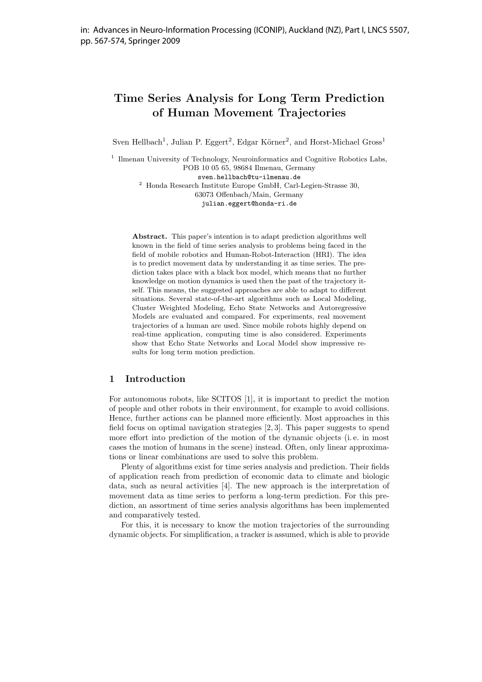# Time Series Analysis for Long Term Prediction of Human Movement Trajectories

Sven Hellbach<sup>1</sup>, Julian P. Eggert<sup>2</sup>, Edgar Körner<sup>2</sup>, and Horst-Michael Gross<sup>1</sup>

<sup>1</sup> Ilmenau University of Technology, Neuroinformatics and Cognitive Robotics Labs, POB 10 05 65, 98684 Ilmenau, Germany sven.hellbach@tu-ilmenau.de  $^2$ Honda Research Institute Europe GmbH, Carl-Legien-Strasse  $30,$ 63073 Offenbach/Main, Germany julian.eggert@honda-ri.de

Abstract. This paper's intention is to adapt prediction algorithms well known in the field of time series analysis to problems being faced in the field of mobile robotics and Human-Robot-Interaction (HRI). The idea is to predict movement data by understanding it as time series. The prediction takes place with a black box model, which means that no further knowledge on motion dynamics is used then the past of the trajectory itself. This means, the suggested approaches are able to adapt to different situations. Several state-of-the-art algorithms such as Local Modeling, Cluster Weighted Modeling, Echo State Networks and Autoregressive Models are evaluated and compared. For experiments, real movement trajectories of a human are used. Since mobile robots highly depend on real-time application, computing time is also considered. Experiments show that Echo State Networks and Local Model show impressive results for long term motion prediction.

# 1 Introduction

For autonomous robots, like SCITOS [1], it is important to predict the motion of people and other robots in their environment, for example to avoid collisions. Hence, further actions can be planned more efficiently. Most approaches in this field focus on optimal navigation strategies [2, 3]. This paper suggests to spend more effort into prediction of the motion of the dynamic objects (i. e. in most cases the motion of humans in the scene) instead. Often, only linear approximations or linear combinations are used to solve this problem.

Plenty of algorithms exist for time series analysis and prediction. Their fields of application reach from prediction of economic data to climate and biologic data, such as neural activities [4]. The new approach is the interpretation of movement data as time series to perform a long-term prediction. For this prediction, an assortment of time series analysis algorithms has been implemented and comparatively tested.

For this, it is necessary to know the motion trajectories of the surrounding dynamic objects. For simplification, a tracker is assumed, which is able to provide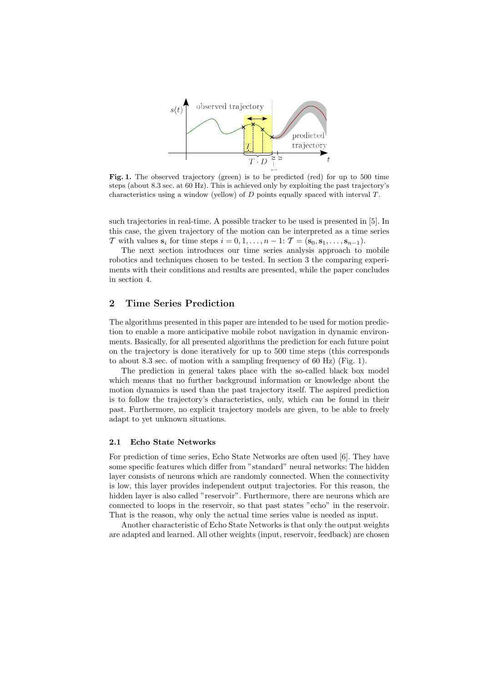

Fig. 1. The observed trajectory (green) is to be predicted (red) for up to 500 time steps (about 8.3 sec. at 60 Hz). This is achieved only by exploiting the past trajectory's characteristics using a window (yellow) of D points equally spaced with interval T.

such trajectories in real-time. A possible tracker to be used is presented in [5]. In this case, the given trajectory of the motion can be interpreted as a time series T with values  $s_i$  for time steps  $i = 0, 1, \ldots, n - 1$ :  $\mathcal{T} = (\mathbf{s}_0, \mathbf{s}_1, \ldots, \mathbf{s}_{n-1})$ .

The next section introduces our time series analysis approach to mobile robotics and techniques chosen to be tested. In section 3 the comparing experiments with their conditions and results are presented, while the paper concludes in section 4.

# 2 Time Series Prediction

The algorithms presented in this paper are intended to be used for motion prediction to enable a more anticipative mobile robot navigation in dynamic environments. Basically, for all presented algorithms the prediction for each future point on the trajectory is done iteratively for up to 500 time steps (this corresponds to about 8.3 sec. of motion with a sampling frequency of 60 Hz) (Fig. 1).

The prediction in general takes place with the so-called black box model which means that no further background information or knowledge about the motion dynamics is used than the past trajectory itself. The aspired prediction is to follow the trajectory's characteristics, only, which can be found in their past. Furthermore, no explicit trajectory models are given, to be able to freely adapt to yet unknown situations.

## 2.1 Echo State Networks

For prediction of time series, Echo State Networks are often used [6]. They have some specific features which differ from "standard" neural networks: The hidden layer consists of neurons which are randomly connected. When the connectivity is low, this layer provides independent output trajectories. For this reason, the hidden layer is also called "reservoir". Furthermore, there are neurons which are connected to loops in the reservoir, so that past states "echo" in the reservoir. That is the reason, why only the actual time series value is needed as input.

Another characteristic of Echo State Networks is that only the output weights are adapted and learned. All other weights (input, reservoir, feedback) are chosen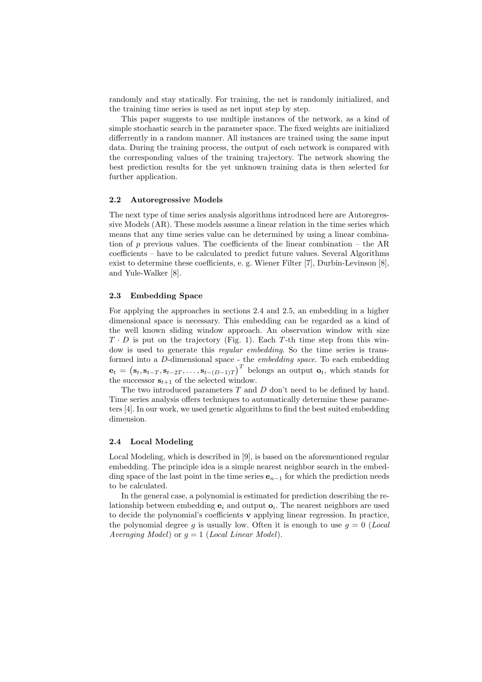randomly and stay statically. For training, the net is randomly initialized, and the training time series is used as net input step by step.

This paper suggests to use multiple instances of the network, as a kind of simple stochastic search in the parameter space. The fixed weights are initialized differrently in a random manner. All instances are trained using the same input data. During the training process, the output of each network is compared with the corresponding values of the training trajectory. The network showing the best prediction results for the yet unknown training data is then selected for further application.

## 2.2 Autoregressive Models

The next type of time series analysis algorithms introduced here are Autoregressive Models (AR). These models assume a linear relation in the time series which means that any time series value can be determined by using a linear combination of  $p$  previous values. The coefficients of the linear combination – the AR coefficients – have to be calculated to predict future values. Several Algorithms exist to determine these coefficients, e. g. Wiener Filter [7], Durbin-Levinson [8], and Yule-Walker [8].

## 2.3 Embedding Space

For applying the approaches in sections 2.4 and 2.5, an embedding in a higher dimensional space is necessary. This embedding can be regarded as a kind of the well known sliding window approach. An observation window with size  $T \cdot D$  is put on the trajectory (Fig. 1). Each T-th time step from this window is used to generate this *regular embedding*. So the time series is transformed into a D-dimensional space - the *embedding space*. To each embedding  $\mathbf{e}_t =$ u<br>7 st,  $s_{t-1}, s_{t-2}, \ldots, s_{t-(D-1)T}$  belongs an output  $o_t$ , which stands for the successor  $s_{t+1}$  of the selected window.

The two introduced parameters  $T$  and  $D$  don't need to be defined by hand. Time series analysis offers techniques to automatically determine these parameters [4]. In our work, we used genetic algorithms to find the best suited embedding dimension.

## 2.4 Local Modeling

Local Modeling, which is described in [9], is based on the aforementioned regular embedding. The principle idea is a simple nearest neighbor search in the embedding space of the last point in the time series  $e_{n-1}$  for which the prediction needs to be calculated.

In the general case, a polynomial is estimated for prediction describing the relationship between embedding  $e_i$  and output  $o_i$ . The nearest neighbors are used to decide the polynomial's coefficients  $\bf{v}$  applying linear regression. In practice, the polynomial degree q is usually low. Often it is enough to use  $q = 0$  (Local Averaging Model) or  $q = 1$  (Local Linear Model).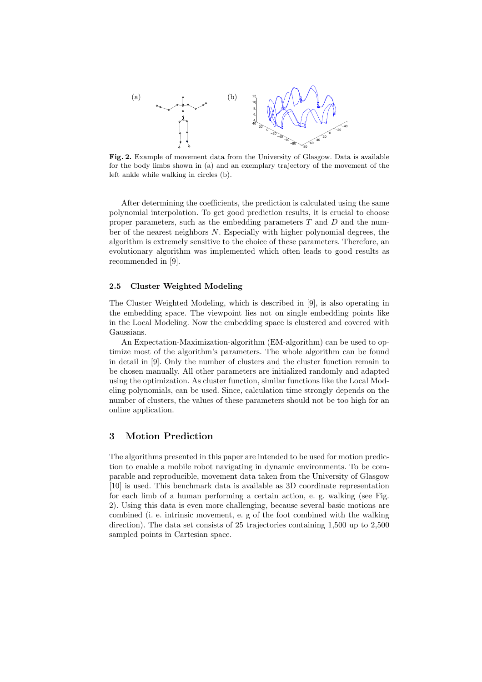

Fig. 2. Example of movement data from the University of Glasgow. Data is available for the body limbs shown in (a) and an exemplary trajectory of the movement of the left ankle while walking in circles (b).

After determining the coefficients, the prediction is calculated using the same polynomial interpolation. To get good prediction results, it is crucial to choose proper parameters, such as the embedding parameters  $T$  and  $D$  and the number of the nearest neighbors  $N$ . Especially with higher polynomial degrees, the algorithm is extremely sensitive to the choice of these parameters. Therefore, an evolutionary algorithm was implemented which often leads to good results as recommended in [9].

## 2.5 Cluster Weighted Modeling

The Cluster Weighted Modeling, which is described in [9], is also operating in the embedding space. The viewpoint lies not on single embedding points like in the Local Modeling. Now the embedding space is clustered and covered with Gaussians.

An Expectation-Maximization-algorithm (EM-algorithm) can be used to optimize most of the algorithm's parameters. The whole algorithm can be found in detail in [9]. Only the number of clusters and the cluster function remain to be chosen manually. All other parameters are initialized randomly and adapted using the optimization. As cluster function, similar functions like the Local Modeling polynomials, can be used. Since, calculation time strongly depends on the number of clusters, the values of these parameters should not be too high for an online application.

# 3 Motion Prediction

The algorithms presented in this paper are intended to be used for motion prediction to enable a mobile robot navigating in dynamic environments. To be comparable and reproducible, movement data taken from the University of Glasgow [10] is used. This benchmark data is available as 3D coordinate representation for each limb of a human performing a certain action, e. g. walking (see Fig. 2). Using this data is even more challenging, because several basic motions are combined (i. e. intrinsic movement, e. g of the foot combined with the walking direction). The data set consists of 25 trajectories containing 1,500 up to 2,500 sampled points in Cartesian space.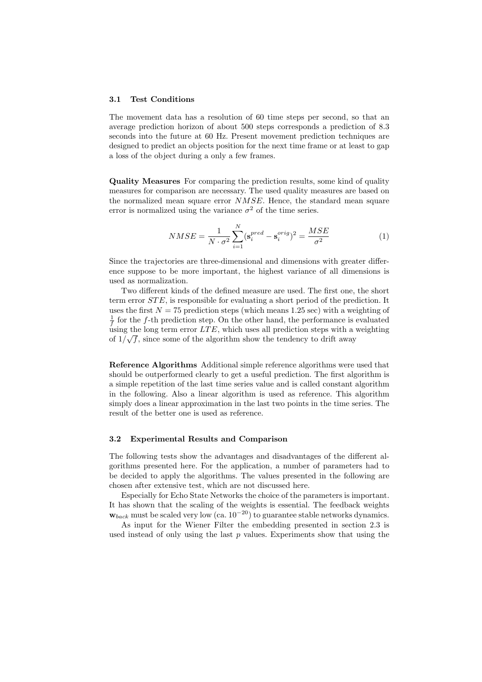#### 3.1 Test Conditions

The movement data has a resolution of 60 time steps per second, so that an average prediction horizon of about 500 steps corresponds a prediction of 8.3 seconds into the future at 60 Hz. Present movement prediction techniques are designed to predict an objects position for the next time frame or at least to gap a loss of the object during a only a few frames.

Quality Measures For comparing the prediction results, some kind of quality measures for comparison are necessary. The used quality measures are based on the normalized mean square error NMSE. Hence, the standard mean square error is normalized using the variance  $\sigma^2$  of the time series.

$$
NMSE = \frac{1}{N \cdot \sigma^2} \sum_{i=1}^{N} (\mathbf{s}_i^{pred} - \mathbf{s}_i^{orig})^2 = \frac{MSE}{\sigma^2}
$$
(1)

Since the trajectories are three-dimensional and dimensions with greater difference suppose to be more important, the highest variance of all dimensions is used as normalization.

Two different kinds of the defined measure are used. The first one, the short term error  $STE$ , is responsible for evaluating a short period of the prediction. It uses the first  $N = 75$  prediction steps (which means 1.25 sec) with a weighting of  $\frac{1}{f}$  for the f-th prediction step. On the other hand, the performance is evaluated using the long term error  $LTE$ , which uses all prediction steps with a weighting of  $1/\sqrt{f}$ , since some of the algorithm show the tendency to drift away

Reference Algorithms Additional simple reference algorithms were used that should be outperformed clearly to get a useful prediction. The first algorithm is a simple repetition of the last time series value and is called constant algorithm in the following. Also a linear algorithm is used as reference. This algorithm simply does a linear approximation in the last two points in the time series. The result of the better one is used as reference.

## 3.2 Experimental Results and Comparison

The following tests show the advantages and disadvantages of the different algorithms presented here. For the application, a number of parameters had to be decided to apply the algorithms. The values presented in the following are chosen after extensive test, which are not discussed here.

Especially for Echo State Networks the choice of the parameters is important. It has shown that the scaling of the weights is essential. The feedback weights  $w_{back}$  must be scaled very low (ca. 10<sup>-20</sup>) to guarantee stable networks dynamics.

As input for the Wiener Filter the embedding presented in section 2.3 is used instead of only using the last  $p$  values. Experiments show that using the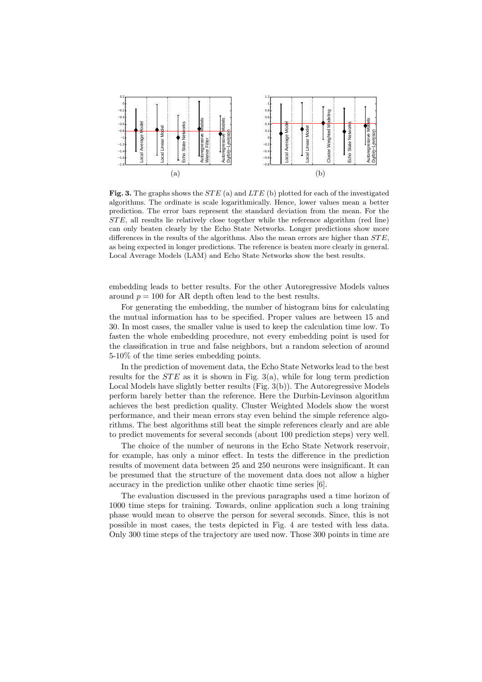

Fig. 3. The graphs shows the  $STE$  (a) and  $LTE$  (b) plotted for each of the investigated algorithms. The ordinate is scale logarithmically. Hence, lower values mean a better prediction. The error bars represent the standard deviation from the mean. For the ST E, all results lie relatively close together while the reference algorithm (red line) can only beaten clearly by the Echo State Networks. Longer predictions show more differences in the results of the algorithms. Also the mean errors are higher than  $STE$ , as being expected in longer predictions. The reference is beaten more clearly in general. Local Average Models (LAM) and Echo State Networks show the best results.

embedding leads to better results. For the other Autoregressive Models values around  $p = 100$  for AR depth often lead to the best results.

For generating the embedding, the number of histogram bins for calculating the mutual information has to be specified. Proper values are between 15 and 30. In most cases, the smaller value is used to keep the calculation time low. To fasten the whole embedding procedure, not every embedding point is used for the classification in true and false neighbors, but a random selection of around 5-10% of the time series embedding points.

In the prediction of movement data, the Echo State Networks lead to the best results for the  $STE$  as it is shown in Fig. 3(a), while for long term prediction Local Models have slightly better results (Fig. 3(b)). The Autoregressive Models perform barely better than the reference. Here the Durbin-Levinson algorithm achieves the best prediction quality. Cluster Weighted Models show the worst performance, and their mean errors stay even behind the simple reference algorithms. The best algorithms still beat the simple references clearly and are able to predict movements for several seconds (about 100 prediction steps) very well.

The choice of the number of neurons in the Echo State Network reservoir, for example, has only a minor effect. In tests the difference in the prediction results of movement data between 25 and 250 neurons were insignificant. It can be presumed that the structure of the movement data does not allow a higher accuracy in the prediction unlike other chaotic time series [6].

The evaluation discussed in the previous paragraphs used a time horizon of 1000 time steps for training. Towards, online application such a long training phase would mean to observe the person for several seconds. Since, this is not possible in most cases, the tests depicted in Fig. 4 are tested with less data. Only 300 time steps of the trajectory are used now. Those 300 points in time are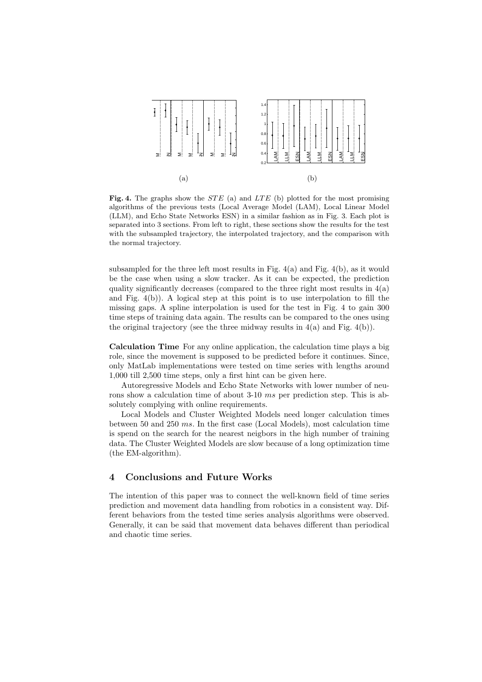

Fig. 4. The graphs show the  $STE$  (a) and  $LTE$  (b) plotted for the most promising algorithms of the previous tests (Local Average Model (LAM), Local Linear Model (LLM), and Echo State Networks ESN) in a similar fashion as in Fig. 3. Each plot is separated into 3 sections. From left to right, these sections show the results for the test with the subsampled trajectory, the interpolated trajectory, and the comparison with the normal trajectory.

subsampled for the three left most results in Fig.  $4(a)$  and Fig.  $4(b)$ , as it would be the case when using a slow tracker. As it can be expected, the prediction quality significantly decreases (compared to the three right most results in  $4(a)$ ) and Fig.  $4(b)$ ). A logical step at this point is to use interpolation to fill the missing gaps. A spline interpolation is used for the test in Fig. 4 to gain 300 time steps of training data again. The results can be compared to the ones using the original trajectory (see the three midway results in  $4(a)$  and Fig.  $4(b)$ ).

Calculation Time For any online application, the calculation time plays a big role, since the movement is supposed to be predicted before it continues. Since, only MatLab implementations were tested on time series with lengths around 1,000 till 2,500 time steps, only a first hint can be given here.

Autoregressive Models and Echo State Networks with lower number of neurons show a calculation time of about 3-10 ms per prediction step. This is absolutely complying with online requirements.

Local Models and Cluster Weighted Models need longer calculation times between 50 and 250 ms. In the first case (Local Models), most calculation time is spend on the search for the nearest neigbors in the high number of training data. The Cluster Weighted Models are slow because of a long optimization time (the EM-algorithm).

# 4 Conclusions and Future Works

The intention of this paper was to connect the well-known field of time series prediction and movement data handling from robotics in a consistent way. Different behaviors from the tested time series analysis algorithms were observed. Generally, it can be said that movement data behaves different than periodical and chaotic time series.